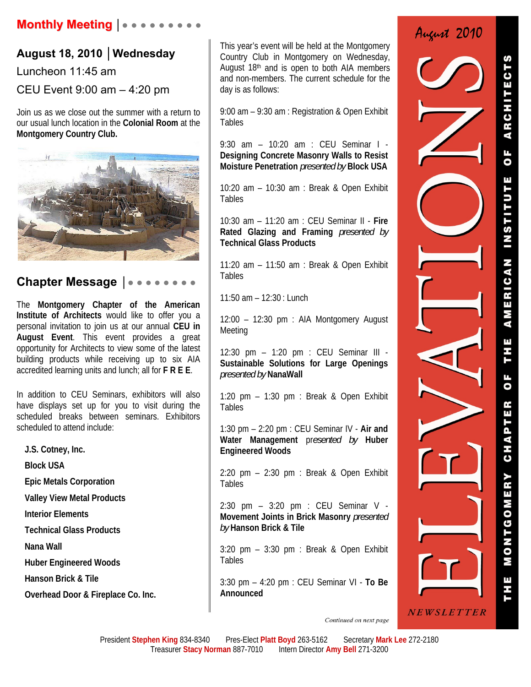## **August 18, 2010 │Wednesday**

Luncheon 11:45 am

CEU Event 9:00 am – 4:20 pm

Join us as we close out the summer with a return to our usual lunch location in the **Colonial Room** at the **Montgomery Country Club.** 



## **Chapter Message** │● ● ● ● ● ● ● ●

The **Montgomery Chapter of the American Institute of Architects** would like to offer you a personal invitation to join us at our annual **CEU in August Event**. This event provides a great opportunity for Architects to view some of the latest building products while receiving up to six AIA accredited learning units and lunch; all for **F R E E**.

In addition to CEU Seminars, exhibitors will also have displays set up for you to visit during the scheduled breaks between seminars. Exhibitors scheduled to attend include:

**J.S. Cotney, Inc.** 

**Block USA** 

**Epic Metals Corporation** 

**Valley View Metal Products** 

**Interior Elements** 

**Technical Glass Products** 

**Nana Wall** 

**Huber Engineered Woods** 

**Hanson Brick & Tile** 

**Overhead Door & Fireplace Co. Inc.**

This year's event will be held at the Montgomery Country Club in Montgomery on Wednesday, August 18<sup>th</sup> and is open to both AIA members and non-members. The current schedule for the day is as follows:

9:00 am – 9:30 am : Registration & Open Exhibit **Tables** 

9:30 am – 10:20 am : CEU Seminar I - **Designing Concrete Masonry Walls to Resist Moisture Penetration** *presented by* **Block USA**

10:20 am – 10:30 am : Break & Open Exhibit Tables

10:30 am – 11:20 am : CEU Seminar II - **Fire Rated Glazing and Framing** *presented by* **Technical Glass Products** 

11:20 am – 11:50 am : Break & Open Exhibit Tables

11:50 am – 12:30 : Lunch

12:00 – 12:30 pm : AIA Montgomery August Meeting

12:30 pm – 1:20 pm : CEU Seminar III - **Sustainable Solutions for Large Openings**  *presented by* **NanaWall**

1:20 pm – 1:30 pm : Break & Open Exhibit Tables

1:30 pm – 2:20 pm : CEU Seminar IV - **Air and Water Management** pr*esented by* **Huber Engineered Woods**

2:20 pm – 2:30 pm : Break & Open Exhibit Tables

2:30 pm – 3:20 pm : CEU Seminar V - **Movement Joints in Brick Masonry** *presented by* **Hanson Brick & Tile**

3:20 pm – 3:30 pm : Break & Open Exhibit **Tables** 

3:30 pm – 4:20 pm : CEU Seminar VI - **To Be Announced**



ARCHITE  $\overline{\bullet}$ **INSTITUT** AMERICAN THE **UF** CHAPTER MONTGOMERY